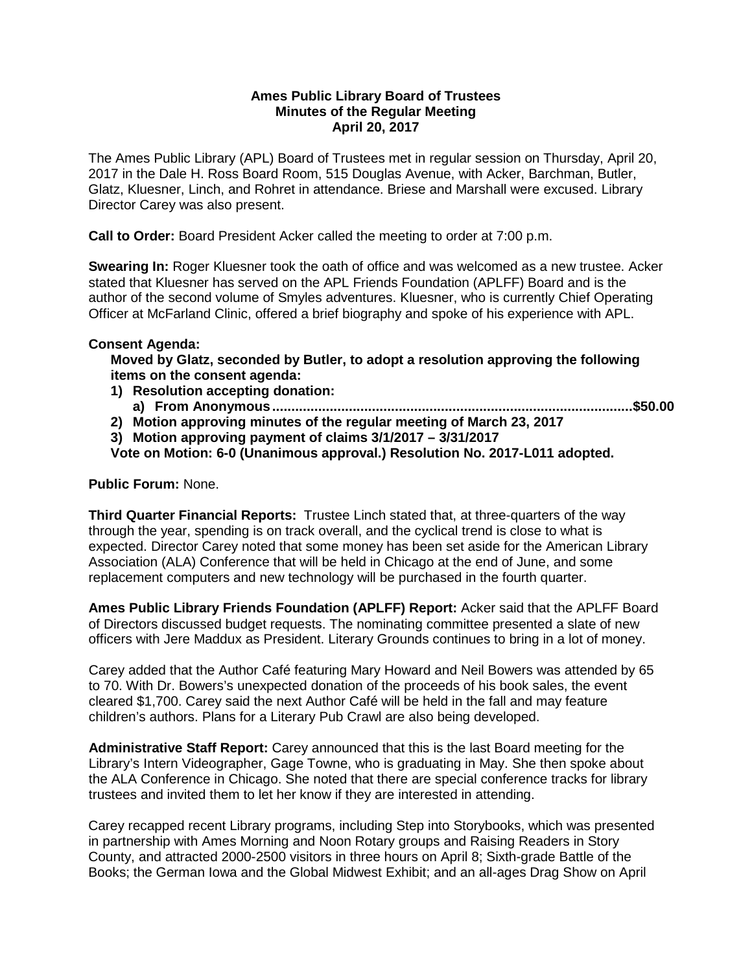#### **Ames Public Library Board of Trustees Minutes of the Regular Meeting April 20, 2017**

The Ames Public Library (APL) Board of Trustees met in regular session on Thursday, April 20, 2017 in the Dale H. Ross Board Room, 515 Douglas Avenue, with Acker, Barchman, Butler, Glatz, Kluesner, Linch, and Rohret in attendance. Briese and Marshall were excused. Library Director Carey was also present.

**Call to Order:** Board President Acker called the meeting to order at 7:00 p.m.

**Swearing In:** Roger Kluesner took the oath of office and was welcomed as a new trustee. Acker stated that Kluesner has served on the APL Friends Foundation (APLFF) Board and is the author of the second volume of Smyles adventures. Kluesner, who is currently Chief Operating Officer at McFarland Clinic, offered a brief biography and spoke of his experience with APL.

#### **Consent Agenda:**

**Moved by Glatz, seconded by Butler, to adopt a resolution approving the following items on the consent agenda:**

- **1) Resolution accepting donation:**
	- **a) From Anonymous..............................................................................................\$50.00**

**2) Motion approving minutes of the regular meeting of March 23, 2017**

**3) Motion approving payment of claims 3/1/2017 – 3/31/2017 Vote on Motion: 6-0 (Unanimous approval.) Resolution No. 2017-L011 adopted.**

**Public Forum:** None.

**Third Quarter Financial Reports:** Trustee Linch stated that, at three-quarters of the way through the year, spending is on track overall, and the cyclical trend is close to what is expected. Director Carey noted that some money has been set aside for the American Library Association (ALA) Conference that will be held in Chicago at the end of June, and some replacement computers and new technology will be purchased in the fourth quarter.

**Ames Public Library Friends Foundation (APLFF) Report:** Acker said that the APLFF Board of Directors discussed budget requests. The nominating committee presented a slate of new officers with Jere Maddux as President. Literary Grounds continues to bring in a lot of money.

Carey added that the Author Café featuring Mary Howard and Neil Bowers was attended by 65 to 70. With Dr. Bowers's unexpected donation of the proceeds of his book sales, the event cleared \$1,700. Carey said the next Author Café will be held in the fall and may feature children's authors. Plans for a Literary Pub Crawl are also being developed.

**Administrative Staff Report:** Carey announced that this is the last Board meeting for the Library's Intern Videographer, Gage Towne, who is graduating in May. She then spoke about the ALA Conference in Chicago. She noted that there are special conference tracks for library trustees and invited them to let her know if they are interested in attending.

Carey recapped recent Library programs, including Step into Storybooks, which was presented in partnership with Ames Morning and Noon Rotary groups and Raising Readers in Story County, and attracted 2000-2500 visitors in three hours on April 8; Sixth-grade Battle of the Books; the German Iowa and the Global Midwest Exhibit; and an all-ages Drag Show on April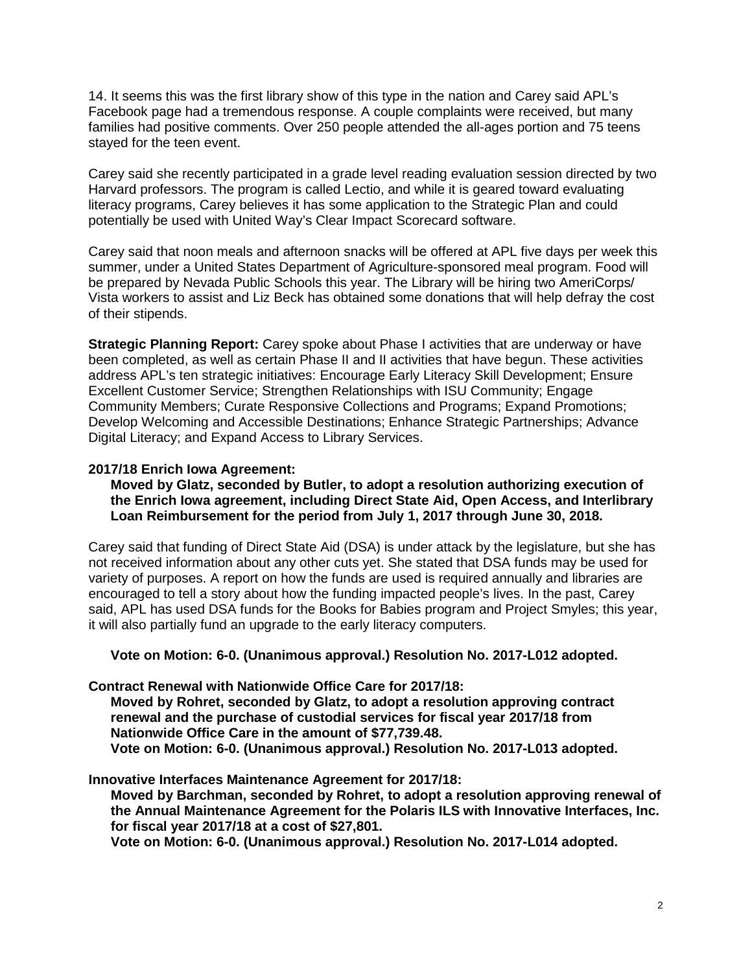14. It seems this was the first library show of this type in the nation and Carey said APL's Facebook page had a tremendous response. A couple complaints were received, but many families had positive comments. Over 250 people attended the all-ages portion and 75 teens stayed for the teen event.

Carey said she recently participated in a grade level reading evaluation session directed by two Harvard professors. The program is called Lectio, and while it is geared toward evaluating literacy programs, Carey believes it has some application to the Strategic Plan and could potentially be used with United Way's Clear Impact Scorecard software.

Carey said that noon meals and afternoon snacks will be offered at APL five days per week this summer, under a United States Department of Agriculture-sponsored meal program. Food will be prepared by Nevada Public Schools this year. The Library will be hiring two AmeriCorps/ Vista workers to assist and Liz Beck has obtained some donations that will help defray the cost of their stipends.

**Strategic Planning Report:** Carey spoke about Phase I activities that are underway or have been completed, as well as certain Phase II and II activities that have begun. These activities address APL's ten strategic initiatives: Encourage Early Literacy Skill Development; Ensure Excellent Customer Service; Strengthen Relationships with ISU Community; Engage Community Members; Curate Responsive Collections and Programs; Expand Promotions; Develop Welcoming and Accessible Destinations; Enhance Strategic Partnerships; Advance Digital Literacy; and Expand Access to Library Services.

#### **2017/18 Enrich Iowa Agreement:**

**Moved by Glatz, seconded by Butler, to adopt a resolution authorizing execution of the Enrich Iowa agreement, including Direct State Aid, Open Access, and Interlibrary Loan Reimbursement for the period from July 1, 2017 through June 30, 2018.**

Carey said that funding of Direct State Aid (DSA) is under attack by the legislature, but she has not received information about any other cuts yet. She stated that DSA funds may be used for variety of purposes. A report on how the funds are used is required annually and libraries are encouraged to tell a story about how the funding impacted people's lives. In the past, Carey said, APL has used DSA funds for the Books for Babies program and Project Smyles; this year, it will also partially fund an upgrade to the early literacy computers.

**Vote on Motion: 6-0. (Unanimous approval.) Resolution No. 2017-L012 adopted.**

**Contract Renewal with Nationwide Office Care for 2017/18:** 

**Moved by Rohret, seconded by Glatz, to adopt a resolution approving contract renewal and the purchase of custodial services for fiscal year 2017/18 from Nationwide Office Care in the amount of \$77,739.48. Vote on Motion: 6-0. (Unanimous approval.) Resolution No. 2017-L013 adopted.**

#### **Innovative Interfaces Maintenance Agreement for 2017/18:**

**Moved by Barchman, seconded by Rohret, to adopt a resolution approving renewal of the Annual Maintenance Agreement for the Polaris ILS with Innovative Interfaces, Inc. for fiscal year 2017/18 at a cost of \$27,801.**

**Vote on Motion: 6-0. (Unanimous approval.) Resolution No. 2017-L014 adopted.**